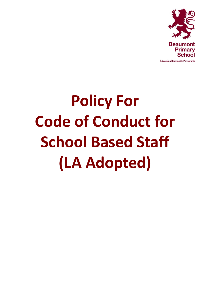

# **Policy For Code of Conduct for School Based Staff (LA Adopted)**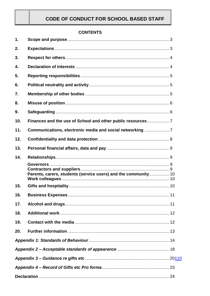## **CODE OF CONDUCT FOR SCHOOL BASED STAFF**

#### **CONTENTS**

| 1.  |                                                                |  |  |  |
|-----|----------------------------------------------------------------|--|--|--|
| 2.  |                                                                |  |  |  |
| 3.  |                                                                |  |  |  |
| 4.  |                                                                |  |  |  |
| 5.  |                                                                |  |  |  |
| 6.  |                                                                |  |  |  |
| 7.  |                                                                |  |  |  |
| 8.  |                                                                |  |  |  |
| 9.  |                                                                |  |  |  |
| 10. | Finances and the use of School and other public resources7     |  |  |  |
| 11. | Communications, electronic media and social networking 7       |  |  |  |
| 12. |                                                                |  |  |  |
| 13. |                                                                |  |  |  |
| 14. |                                                                |  |  |  |
|     | Parents, carers, students (service users) and the community 10 |  |  |  |
| 15. |                                                                |  |  |  |
|     |                                                                |  |  |  |
| 17. |                                                                |  |  |  |
| 18. |                                                                |  |  |  |
| 19. |                                                                |  |  |  |
| 20. |                                                                |  |  |  |
|     |                                                                |  |  |  |
|     |                                                                |  |  |  |
|     |                                                                |  |  |  |
|     |                                                                |  |  |  |
|     |                                                                |  |  |  |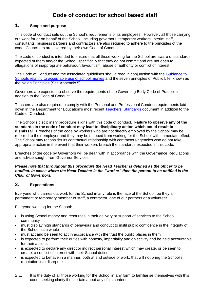# **Code of conduct for school based staff**

#### <span id="page-2-0"></span>**1. Scope and purpose**

This code of conduct sets out the School's requirements of its employees. However, all those carrying out work for or on behalf of the School, including governors, temporary workers, interim staff, consultants, business partners and contractors are also required to adhere to the principles of the code. Councillors are covered by their own Code of Conduct.

The code of conduct is intended to ensure that all those working for the School are aware of standards expected of them and/or the School, specifically that they do not commit and are not open to allegations of inappropriate behaviour; favouritism, abuse of authority or conflict of interest.

The Code of Conduct and the associated guidelines should read in conjunction with the Guidance to [Schools relating to acceptable use of school monies](http://webfronter.com/croydon/Finance_Matters/mnu2/05_Audit_and_FMSiS/images/Guidance_to_schools_relating_to_acceptable_use_of_school_monies.doc) and the seven principles of Public Life, known as the Nolan Principles (See Appendix 5).

Governors are expected to observe the requirements of the Governing Body Code of Practice in addition to the Code of Conduct.

Teachers are also required to comply with the Personal and Professional Conduct requirements laid down in the Department for Education's most recent [Teachers' Standards](https://www.education.gov.uk/publications/eOrderingDownload/teachers%20standards.pdf) document in addition to the Code of Conduct.

The School's disciplinary procedure aligns with this code of conduct. **Failure to observe any of the standards in the code of conduct may lead to disciplinary action which could result in dismissal.** Breaches of the code by workers who are not directly employed by the School may be referred to their employer and they may be stopped from working for the School with immediate effect. The School may reconsider its contractual relationship with contractors/agencies who do not take appropriate action in the event that their workers breach the standards expected in this code.

Breaches of the code by Governors will be dealt with in accordance with the Governance Regulations and advice sought from Governor Services.

#### *Please note that throughout this procedure the Head Teacher is defined as the officer to be notified. In cases where the Head Teacher is the "worker" then the person to be notified is the Chair of Governors.*

#### <span id="page-2-1"></span>**2. Expectations**

Everyone who carries out work for the School in any role is the face of the School, be they a permanent or temporary member of staff, a contractor, one of our partners or a volunteer.

Everyone working for the School:

- is using School money and resources in their delivery or support of services to the School community
- must display high standards of behaviour and conduct to instil public confidence in the integrity of the School as a whole
- must act and be seen to act in accordance with the trust the public places in them
- is expected to perform their duties with honesty, impartiality and objectivity and be held accountable for their actions
- is expected to declare any direct or indirect personal interest which may create, or be seen to create, a conflict of interest with their School duties
- is expected to behave in a manner, both at and outside of work, that will not bring the School's reputation into disrepute.
- 2.1. It is the duty of all those working for the School in any form to familiarise themselves with this code, seeking clarity if uncertain about any of its content.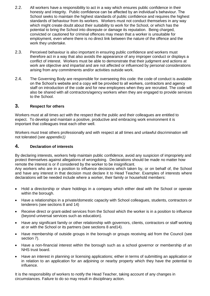- 2.2. All workers have a responsibility to act in a way which ensures public confidence in their honesty and integrity. Public confidence can be affected by an individual's behaviour. The School seeks to maintain the highest standards of public confidence and requires the highest standards of behaviour from its workers. Workers must not conduct themselves in any way which might create doubt about their suitability to work for the School, or which has the potential to bring the School into disrepute or damage its reputation. Being charged, convicted or cautioned for criminal offences may mean that a worker is unsuitable for employment, even where there is no direct link between the nature of the offence and the work they undertake.
- 2.3. Perceived behaviour is also important in ensuring public confidence and workers must therefore act in a way that also avoids the appearance of any improper conduct or displays a conflict of interest. Workers must be able to demonstrate that their judgment and actions at work are objective and impartial and are not affected or influenced by personal considerations arising from any commitments and/or activities outside work.
- 2.4. The Governing Body are responsible for overseeing this code: the code of conduct is available on the School's website and a copy will be provided to all workers, contractors and agency staff on introduction of the code and for new employees when they are recruited. The code will also be shared with all contractors/agency workers when they are engaged to provide services to the School.

#### <span id="page-3-0"></span>**3. Respect for others**

Workers must at all times act with the respect that the public and their colleagues are entitled to expect. To develop and maintain a positive, productive and embracing work environment it is important that colleagues treat each other well.

Workers must treat others professionally and with respect at all times and unlawful discrimination will not tolerated (*see appendix1)*

#### <span id="page-3-1"></span>**4. Declaration of interests**

By declaring interests, workers help maintain public confidence, avoid any suspicion of impropriety and protect themselves against allegations of wrongdoing. Declarations should be made no matter how remote the interest is or if considered by the worker to be insignificant.

Any workers who are in a position to influence decisions which taken by, or on behalf of, the School and have any interest in that decision must declare it to Head Teacher. Examples of interests where declarations will be needed include where a worker, their family or household members:

- Hold a directorship or share holdings in a company which either deal with the School or operate within the borough.
- Have a relationships in a private/domestic capacity with School colleagues, students, contractors or tenderers (see sections 8 and 14)
- Receive direct or grant-aided services from the School which the worker is in a position to influence (beyond universal services such as education).
- Have any significant family or other relationship with governors, clients, contractors or staff working at or with the School or its partners (see sections 8 and14).
- Have membership of outside groups in the borough or groups receiving aid from the Council (see section 7).
- Have a non-financial interest within the borough such as a school governor or membership of an NHS trust board.
- Have an interest in planning or licensing applications; either in terms of submitting an application or in relation to an application for an adjoining or nearby property which they have the potential to influence.

It is the responsibility of workers to notify the Head Teacher, taking account of any changes in circumstances. Failure to do so may result in disciplinary action.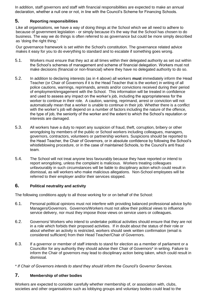In addition, staff governors and staff with financial responsibilities are expected to make an annual declaration, whether a null one or not, in line with the Council's Scheme for Financing Schools.

#### <span id="page-4-0"></span>**5. Reporting responsibilities**

Like all organisations, we have a way of doing things at the School which we all need to adhere to because of government legislation - or simply because it's the way that the School has chosen to do business. The way we do things is often referred to as governance but could be more simply described as 'doing the right thing.'

Our governance framework is set within the School's constitution. The governance related advice makes it easy for you to do everything to standard and to escalate if something goes wrong.

- 5.1. Workers must ensure that they act at all times within their delegated authority as set out within the School's schemes of management and scheme of financial delegation. Workers must not make decisions (financial or non-financial) where they have no delegated authority to do so.
- 5.2. In addition to declaring interests (as in 4 above) all workers **must** immediately inform the Head Teacher (or Chair of Governors if it is the Head Teacher that is the worker) in writing of all police cautions, warnings, reprimands, arrests and/or convictions received during their period of employment/engagement with the School. This information will be treated in confidence and used to assess any impact on the worker's job, including the appropriateness for the worker to continue in their role. A caution, warning, reprimand, arrest or conviction will not automatically mean that a worker is unable to continue in their job. Whether there is a conflict with the worker's job will depend on a number of factors including the nature of the offence, the type of job, the seniority of the worker and the extent to which the School's reputation or interests are damaged.
- 5.3. All workers have a duty to report any suspicion of fraud, theft, corruption, bribery or other wrongdoing by members of the public or School workers including colleagues, managers, governors, contractors, volunteers or partnership workers. Suspicions should be reported to the Head Teacher, the Chair of Governors, or in absolute confidence by following the School's whistleblowing procedure, or in the case of maintained Schools, to the Council's anti fraud team*.*
- 5.4. The School will not treat anyone less favourably because they have reported or intend to report wrongdoing, unless the complaint is malicious. Workers treating colleagues unfavourably in such circumstances will be liable to disciplinary action which could result in dismissal, as will workers who make malicious allegations. Non-School employees will be referred to their employer and/or their services stopped.

#### <span id="page-4-1"></span>**6. Political neutrality and activity**

The following conditions apply to all those working for or on behalf of the School:

- 6.1. Personal political opinions must not interfere with providing balanced professional advice by/to Managers/Governors. Governors/Workers must not allow their political views to influence service delivery, nor must they impose those views on service users or colleagues.
- 6.2. Governors/ Workers who intend to undertake political activities should ensure that they are not in a role which forbids their proposed activities. If in doubt about the status of their role or about whether an activity is restricted, workers should seek written confirmation (email is considered sufficient) from their Head Teacher/Chair of Governors.
- 6.3. If a governor or member of staff intends to stand for election as a member of parliament or a Councillor for any authority they should advise their Chair of Governors\* in writing. Failure to inform the Chair of governors may lead to disciplinary action being taken, which could result in dismissal.
- <span id="page-4-2"></span>*\* If Chair of Governors intends to stand they should inform the Council's Governor Services.*

#### **7. Membership of other bodies**

Workers are expected to consider carefully whether membership of, or association with, clubs, societies and other organisations such as lobbying groups and voluntary bodies could lead to the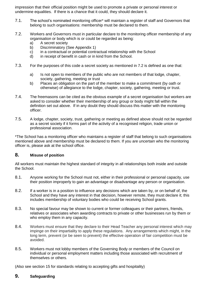impression that their official position might be used to promote a private or personal interest or undermine equalities. If there is a chance that it could, they should declare it.

- 7.1. The school's nominated monitoring officer\* will maintain a register of staff and Governors that belong to such organisations: membership must be declared to them.
- 7.2. Workers and Governors must in particular declare to the monitoring officer membership of any organisation or body which is or could be regarded as being:
	- a) A secret society
	- b) Discriminatory (See Appendix 1)
	- c) in a contractual or potential contractual relationship with the School
	- d) in receipt of benefit in cash or in kind from the School.
- 7.3. For the purposes of this code a secret society as mentioned in 7.2 is defined as one that:
	- a) Is not open to members of the public who are not members of that lodge, chapter, society, gathering, meeting or trust
	- b) Places an obligation on the part of the member to make a commitment (by oath or otherwise) of allegiance to the lodge, chapter, society, gathering, meeting or trust.
- 7.4. The freemasons can be cited as the obvious example of a secret organisation but workers are asked to consider whether their membership of any group or body might fall within the definition set out above. If in any doubt they should discuss this matter with the monitoring officer.
- 7.5. A lodge, chapter, society, trust, gathering or meeting as defined above should not be regarded as a secret society if it forms part of the activity of a recognised religion, trade union or professional association.

\*The School has a monitoring officer who maintains a register of staff that belong to such organisations mentioned above and membership must be declared to them. If you are uncertain who the monitoring officer is, please ask at the school office.

#### <span id="page-5-0"></span>**8. Misuse of position**

All workers must maintain the highest standard of integrity in all relationships both inside and outside the School.

- 8.1. Anyone working for the School must not, either in their professional or personal capacity, use their position improperly to gain an advantage or disadvantage any person or organisation.
- 8.2. If a worker is in a position to influence any decisions which are taken by, or on behalf of, the School and they have any interest in that decision, however remote, they must declare it; this includes membership of voluntary bodies who could be receiving School grants.
- 8.3. No special favour may be shown to current or former colleagues or their partners, friends, relatives or associates when awarding contracts to private or other businesses run by them or who employ them in any capacity.
- 8.4. Workers must ensure that they declare to their Head Teacher any personal interest which may impinge on their impartiality to apply these regulations. Any arrangements which might, in the long term, prevent (or be seen to prevent) the effective operation of fair competition must be avoided.
- 8.5. Workers must not lobby members of the Governing Body or members of the Council on individual or personal employment matters including those associated with recruitment of themselves or others.

<span id="page-5-1"></span>(Also see section [15](#page-9-1) for standards relating to accepting gifts and hospitality)

#### **9. Safeguarding**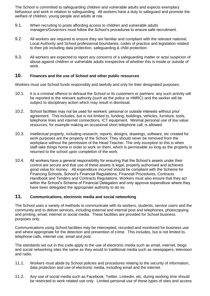The School is committed to safeguarding children and vulnerable adults and expects exemplary behaviour and work in relation to safeguarding. All workers have a duty to safeguard and promote the welfare of children, young people and adults at risk.

- 9.1. When recruiting to posts affording access to children and vulnerable adults managers/Governors must follow the School's procedures to ensure safe recruitment.
- 9.2. All workers are required to ensure they are familiar and compliant with the relevant national, Local Authority and School professional boundaries, codes of practice and legislation related to their job including data protection, safeguarding & child protection.
- 9.3. All workers are expected to report any concerns of a safeguarding matter or acts/ suspicion of abuse against children or vulnerable adults irrespective of whether this is inside or outside of work.

#### <span id="page-6-0"></span>**10. Finances and the use of School and other public resources**

Workers must use School funds responsibly and lawfully and only for their designated purposes.

- 10.1. It is a criminal offence to defraud the School or its customers or partners: any such activity will be reported to the relevant authority (such as the police or HMRC) and the worker will be subject to disciplinary action which may result in dismissal.
- 10.2. School facilities may not be used for workers' personal or outside interests without prior agreement. This includes, but is not limited to, funding, buildings, vehicles, furniture, tools, telephone lines and internet connections, ICT equipment. Minimal personal use of low value resources, for example making an occasional short telephone call, is allowed.
- 10.3. Intellectual property, including research, reports, designs, drawings, software, etc created for work purposes are the property of the School. They should never be removed from the workplace without the permission of the Head Teacher. The only exception to this is when staff take things home in order to work on them, which is permissible so long as the property is returned to the school upon completion of the work.
- 10.4. All workers have a general responsibility for ensuring that the School's assets under their control are secure and that use of these assets is legal, properly authorised and achieves good value for money. All expenditure incurred should be compliant with the Scheme for Financing Schools, School's Financial Regulations, Financial Procedures, Contracts Handbook and Tenders and Contracts Regulations. Workers must also ensure that they act within the School's Scheme of Financial Delegation and only approve expenditure where they have been delegated the appropriate authority to do so.

#### <span id="page-6-1"></span>**11. Communications, electronic media and social networking**

The School uses a variety of methods to communicate with its workers, students, service users and the community and to deliver services, including external and internal post and telephones, photocopying and printing, email, internet or social media. These facilities are provided for School business purposes only.

Communications using School facilities may be intercepted, recorded and monitored for business use and where appropriate for the detection and prevention of crime. This includes, but is not limited to, telephone calls, internet use, email and post.

The standards set out in this code apply to the use of electronic media such as email, internet, blogs and social networking sites the same as they would to traditional media such as newspapers, television and radio.

- 11.1. Workers must abide by School policies and procedures relating to the security of information, data protection and use of electronic media, including email and the internet.
- 11.2. Any use of social media such as Facebook, Twitter, Linkedin, etc, during working time should be restricted to work related use only. Limited personal use of these types of sites and access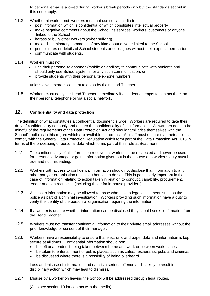to personal email is allowed during worker's break periods only but the standards set out in this code apply.

- 11.3. Whether at work or not, workers must not use social media to:
	- post information which is confidential or which constitutes intellectual property
	- make negative comments about the School, its services, workers, customers or anyone linked to the School
	- harass or bully other workers (cyber bullying)
	- make discriminatory comments of any kind about anyone linked to the School
	- post pictures or details of School students or colleagues without their express permission.
	- communicate with students.
- 11.4. Workers must not;
	- use their personal telephones (mobile or landline) to communicate with students and should only use School systems for any such communication; or
	- provide students with their personal telephone numbers

unless given express consent to do so by their Head Teacher.

11.5. Workers must notify the Head Teacher immediately if a student attempts to contact them on their personal telephone or via a social network.

#### <span id="page-7-0"></span>**12. Confidentiality and data protection**

The definition of what constitutes a confidential document is wide. Workers are required to take their duty of confidentiality seriously and ensure the confidentiality of all information. All workers need to be mindful of the requirements of the Data Protection Act and should familiarise themselves with the School's policies in this regard which are available on request. All staff must ensure that their actions comply with the General Data Protection Regulation which form part of the Data Protection Act 2018 in terms of the processing of personal data which forms part of their role at Beaumont.

- 12.1. The confidentiality of all information received at work must be respected and never be used for personal advantage or gain. Information given out in the course of a worker's duty must be true and not misleading.
- 12.2. Workers with access to confidential information should not disclose that information to any other party or organisation unless authorised to do so. This is particularly important in the case of information relating to action taken in relation to conduct, capability, procurement, tender and contract costs (including those for in-house providers).
- 12.3. Access to information may be allowed to those who have a legal entitlement; such as the police as part of a criminal investigation. Workers providing such information have a duty to verify the identity of the person or organisation requiring the information.
- 12.4. If a worker is unsure whether information can be disclosed they should seek confirmation from the Head Teacher.
- 12.5. Workers must not transfer confidential information to their private email addresses without the prior knowledge or consent of their manager.
- 12.6. Workers have a responsibility to ensure that electronic and paper data and information is kept secure at all times. Confidential information should not:
	- be left unattended if being taken between home and work or between work places;
	- be taken to entertainment or public places, such as cafés, restaurants, pubs and cinemas;
	- be discussed where there is a possibility of being overheard.

Loss and misuse of information and data is a serious offence and is likely to result in disciplinary action which may lead to dismissal.

12.7. Misuse by a worker on leaving the School will be addressed through legal routes.

(Also see section 19 for contact with the media)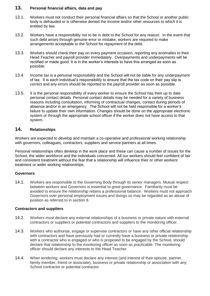#### <span id="page-8-0"></span>**13. Personal financial affairs, data and pay**

- 13.1. Workers must not conduct their personal financial affairs so that the School or another public body is defrauded or is otherwise denied the income and/or other resources to which it is entitled by law.
- 13.2. Workers have a responsibility not to be in debt to the School for any reason. In the event that such debt arises through genuine error or mistake, workers are required to make arrangements acceptable to the School for repayment of the debt.
- 13.3. Workers should check their pay on every payment occasion, reporting any anomalies to their Head Teacher and payroll provider immediately. Overpayments and underpayments will be rectified or made good. It is in the worker's interests to have this arranged as soon as possible.
- 13.4. Income tax is a personal responsibility and the School will not be liable for any underpayment of tax. It is each individual's responsibility to ensure that the tax code on their pay slip is correct and any errors should be reported to the payroll provider as soon as possible.
- 13.5. It is the personal responsibility of every worker to ensure the School has their up to date personal contact details. Personal contact details may be needed for a variety of business reasons including consultation, informing of contractual changes, contact during periods of absence and/or in an emergency. The School will not be held responsible for a worker's failure to update their own information. Changes should be done on the appropriate electronic system or through the appropriate school officer if the worker does not have access to that system.

#### <span id="page-8-1"></span>**14. Relationships**

Workers are expected to develop and maintain a co-operative and professional working relationship with governors, colleagues, contractors, suppliers and service partners at all times.

Personal relationships often develop in the work place and these can cause a number of issues for the School, the wider workforce and the individuals concerned. All our workers should feel confident of fair and consistent treatment without the fear that a relationship will influence their or other workers' treatment or wider working relationships.

#### <span id="page-8-2"></span>**Governors**

14.1. Workers are responsible to the Governing Body through its senior managers. Mutual respect between workers and Governors is essential to good governance. Familiarity must be avoided to ensure the relationship retains a professional balance. Workers must not approach Governors over personal employment issues and doings so may be regarded as an abuse of position as referred to in section [8.](#page-5-0)

#### <span id="page-8-3"></span>**Contractors and suppliers**

- 14.2. Workers must declare any external relationships of a business or private nature with external contractors or suppliers or potential contractors and suppliers to the monitoring officer.
- 14.3. Workers who authorise, engage or supervise contractors or have any other official relationship with contractors and have previously had or currently have a business or private relationship with a contractor who is engaged or who is proposed to be engaged by the School, should declare that relationship to the monitoring officer as soon as practicable. The monitoring officer should declare any interests to the Head Teacher.
- <span id="page-8-4"></span>14.4. When tendering, workers must declare any interest (and interest of their spouse, partner, family member, friend or associate), business or private relationship or association with any School contractor or potential contractor.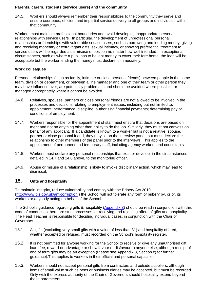#### **Parents, carers, students (service users) and the community**

14.5. Workers should always remember their responsibilities to the community they serve and ensure courteous, efficient and impartial service delivery to all groups and individuals within that community.

Workers must maintain professional boundaries and avoid developing inappropriate personal relationships with service users. In particular, the development of unprofessional personal relationships or friendships with vulnerable service users, such as borrowing and lending money, giving and receiving monetary or extravagant gifts, sexual intimacy, or showing preferential treatment to service users will be regarded as a misuse of position no matter how well intended. In exceptional circumstances, such as where a pupil has to be lent money to cover their fare home, the loan will be acceptable but the worker lending the money must declare it immediately.

#### <span id="page-9-0"></span>**Work colleagues**

Personal relationships (such as family, intimate or close personal friends) between people in the same team, division or department, or between a line manager and one of their team or other person they may have influence over, are potentially problematic and should be avoided where possible, or managed appropriately where it cannot be avoided.

- 14.6. Relatives, spouses, partners or close personal friends are not allowed to be involved in the processes and decisions relating to employment issues, including but not limited to: appointment, performance; discipline; authorising financial payments; determining pay or conditions of employment.
- 14.7. Workers responsible for the appointment of staff must ensure that decisions are based on merit and not on anything other than ability to do the job. Similarly, they must not canvass on behalf of any applicant. If a candidate is known to a worker but is not a relative, spouse, partner or close personal friend, they may sit on the interview panel, but must declare the relationship to other members of the panel prior to the interviews. This applies to the appointment of permanent and temporary staff, including agency workers and consultants.
- 14.8. Workers must declare any personal relationships that exist or develop, in the circumstances detailed in 14.7 and 14.8 above, to the monitoring officer.
- 14.9. Abuse or misuse of a relationship is likely to invoke disciplinary action, which may lead to dismissal.

#### <span id="page-9-1"></span>**15. Gifts and hospitality**

To maintain integrity, reduce vulnerability and comply with the Bribery Act 2010 [\(http://www.bis.gov.uk/anticorruption](http://www.bis.gov.uk/anticorruption) ) the School will not tolerate any form of bribery by, or of, its workers or anybody acting on behalf of the School.

The School's guidance regarding gifts & hospitality (Appendix 3) should be read in conjunction with this code of conduct as there are strict processes for receiving and rejecting offers of gifts and hospitality. The Head Teacher is responsible for deciding individual cases, in conjunction with the Chair of Governors.

- 15.1. All gifts (excluding very small gifts with a value of less than £1) and hospitality offered, whether accepted or refused, must recorded on the School's hospitality register.
- 15.2. It is not permitted for anyone working for the School to receive or give any unauthorised gift, loan, fee, reward or advantage or show favour or disfavour to anyone else, although receipt of end of term gifts may be an exception (Please see Appendix 3, Section c) for further guidance).This applies to workers in their official and personal capacities.
- 15.3. Workers should not accept personal gifts from contractors and outside suppliers, although items of small value such as pens or business diaries may be accepted, but must be recorded. Only with the express authority of the Chair of Governors should hospitality extend beyond these parameters.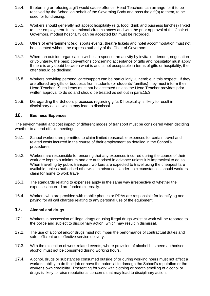- 15.4. If returning or refusing a gift would cause offence, Head Teachers can arrange for it to be received by the School on behalf of the Governing Body and pass the gift(s) to them, to be used for fundraising.
- 15.5. Workers should generally not accept hospitality (e.g. food, drink and business lunches) linked to their employment. In exceptional circumstances and with the prior approval of the Chair of Governors, modest hospitality can be accepted but must be recorded.
- 15.6. Offers of entertainment (e.g. sports events, theatre tickets and hotel accommodation must not be accepted without the express authority of the Chair of Governors.
- 15.7. Where an outside organisation wishes to sponsor an activity by invitation, tender, negotiation or voluntarily, the basic conventions concerning acceptance of gifts and hospitality must apply. If there is any doubt between what is and is not acceptable in terms of gifts or hospitality, the offer should be declined.
- 15.8. Workers providing personal care/support can be particularly vulnerable in this respect. If they are offered any gifts or bequests from students (or students' families) they must inform their Head Teacher. Such items must not be accepted unless the Head Teacher provides prior written approval to do so and should be treated as set out in para.15.3.
- 15.9. Disregarding the School's processes regarding gifts & hospitality is likely to result in disciplinary action which may lead to dismissal.

#### <span id="page-10-0"></span>**16. Business Expenses**

The environmental and cost impact of different modes of transport must be considered when deciding whether to attend off site meetings.

- 16.1. School workers are permitted to claim limited reasonable expenses for certain travel and related costs incurred in the course of their employment as detailed in the School's procedures**.**
- 16.2. Workers are responsible for ensuring that any expenses incurred during the course of their work are kept to a minimum and are authorised in advance unless it is impractical to do so. When travelling by public transport, workers are expected to travel using the cheapest fare available, unless authorised otherwise in advance. Under no circumstances should workers claim for home to work travel.
- 16.3. The standards relating to expenses apply in the same way irrespective of whether the expenses incurred are funded externally.
- 16.4. Workers who are provided with mobile phones or PDAs are responsible for identifying and paying for all call charges relating to any personal use of the equipment.

#### <span id="page-10-1"></span>**17. Alcohol and drugs**

- 17.1. Workers in possession of illegal drugs or using illegal drugs whilst at work will be reported to the police and subject to disciplinary action, which may result in dismissal.
- 17.2. The use of alcohol and/or drugs must not impair the performance of contractual duties and safe, efficient and effective service delivery.
- 17.3. With the exception of work-related events, where provision of alcohol has been authorised, alcohol must not be consumed during working hours.
- 17.4. Alcohol, drugs or substances consumed outside of or during working hours must not affect a worker's ability to do their job or have the potential to damage the School's reputation or the worker's own credibility. Presenting for work with clothing or breath smelling of alcohol or drugs is likely to raise reputational concerns that may lead to disciplinary action.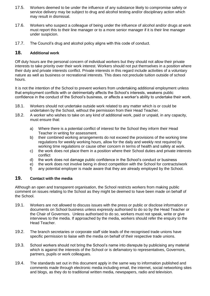- 17.5. Workers deemed to be under the influence of any substance likely to compromise safety or service delivery may be subject to drug and alcohol testing and/or disciplinary action which may result in dismissal.
- 17.6. Workers who suspect a colleague of being under the influence of alcohol and/or drugs at work must report this to their line manager or to a more senior manager if it is their line manager under suspicion.
- <span id="page-11-0"></span>17.7. The Council's drug and alcohol policy aligns with this code of conduct.

#### **18. Additional work**

Off duty hours are the personal concern of individual workers but they should not allow their private interests to take priority over their work interest. Workers should not put themselves in a position where their duty and private interests conflict. Private interests in this regard include activities of a voluntary nature as well as business or recreational interests. This does not preclude tuition outside of school hours.

It is not the intention of the School to prevent workers from undertaking additional employment unless that employment conflicts with or detrimentally affects the School's interests, weakens public confidence in the conduct of the School's business, or affects a worker's ability to undertake their work.

- 18.1. Workers should not undertake outside work related to any matter which is or could be undertaken by the School, without the permission from their Head Teacher.
- 18.2. A worker who wishes to take on any kind of additional work, paid or unpaid, in any capacity, must ensure that:
	- a) Where there is a potential conflict of interest for the School they inform their Head Teacher in writing for assessment.
	- b) their combined working arrangements do not exceed the provisions of the working time regulations for weekly working hours, allow for the daily and weekly rest required by working time regulations or cause other concern in terms of health and safety at work.
	- c) the work does not place them in a position where their School duties and private interests conflict
	- d) the work does not damage public confidence in the School's conduct or business
	- e) the work does not involve being in direct competition with the School for contracts/work
	- f) any potential employer is made aware that they are already employed by the School.

#### <span id="page-11-1"></span>**19. Contact with the media**

Although an open and transparent organisation, the School restricts workers from making public comment on issues relating to the School as they might be deemed to have been made on behalf of the School.

- 19.1. Workers are not allowed to discuss issues with the press or public or disclose information or documents on School business unless expressly authorised to do so by the Head Teacher or the Chair of Governors. Unless authorised to do so, workers must not speak, write or give interviews to the media. If approached by the media, workers should refer the enquiry to the Head Teacher.
- 19.2. The branch secretaries or corporate staff side leads of the recognised trade unions have specific permission to liaise with the media on behalf of their respective trade unions.
- 19.3. School workers should not bring the School's name into disrepute by publicising any material which is against the interests of the School or is defamatory to representatives, Governors, partners, pupils or work colleagues.
- 19.4. The standards set out in this document apply in the same way to information published and comments made through electronic media including email, the internet, social networking sites and blogs, as they do to traditional written media, newspapers, radio and television.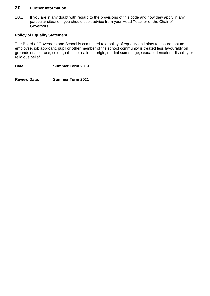#### <span id="page-12-0"></span>**20. Further information**

20.1. If you are in any doubt with regard to the provisions of this code and how they apply in any particular situation, you should seek advice from your Head Teacher or the Chair of Governors.

#### **Policy of Equality Statement**

The Board of Governors and School is committed to a policy of equality and aims to ensure that no employee, job applicant, pupil or other member of the school community is treated less favourably on grounds of sex, race, colour, ethnic or national origin, marital status, age, sexual orientation, disability or religious belief.

**Date: Summer Term 2019**

**Review Date: Summer Term 2021**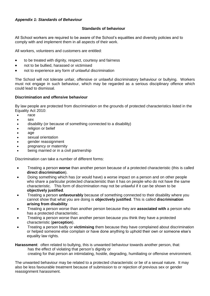#### <span id="page-13-0"></span>*Appendix 1: Standards of Behaviour*

#### **Standards of behaviour**

All School workers are required to be aware of the School's equalities and diversity policies and to comply with and implement them in all aspects of their work.

All workers, volunteers and customers are entitled:

- to be treated with dignity, respect, courtesy and fairness
- not to be bullied, harassed or victimised
- not to experience any form of unlawful discrimination

The School will not tolerate unfair, offensive or unlawful discriminatory behaviour or bullying. Workers must not engage in such behaviour, which may be regarded as a serious disciplinary offence which could lead to dismissal.

#### **Discrimination and offensive behaviour**

By law people are protected from discrimination on the grounds of protected characteristics listed in the Equality Act 2010:

- race
- sex
- disability (or because of something connected to a disability)
- religion or belief
- age
- sexual orientation
- gender reassignment
- pregnancy or maternity
- being married or in a civil partnership

Discrimination can take a number of different forms:

- Treating a person **worse** than another person because of a protected characteristic (this is called **direct discrimination**).
- Doing something which has (or would have) a worse impact on a person and on other people who share a particular protected characteristic than it has on people who do not have the same characteristic. This form of discrimination may not be unlawful if it can be shown to be **objectively justified**.
- Treating a person **unfavourably** because of something connected to their disability where you cannot show that what you are doing is **objectively justified**. This is called **discrimination arising from disability**.
- Treating a person worse than another person because they are **associated with** a person who has a protected characteristic.
- Treating a person worse than another person because you think they have a protected characteristic (**perception**).
- Treating a person badly or **victimising** them because they have complained about discrimination or helped someone else complain or have done anything to uphold their own or someone else's equality law rights.

**Harassment**: often related to bullying, this is unwanted behaviour towards another person, that: has the effect of violating that person's dignity or creating for that person an intimidating, hostile, degrading, humiliating or offensive environment.

The unwanted behaviour may be related to a protected characteristic or be of a sexual nature. It may also be less favourable treatment because of submission to or rejection of previous sex or gender reassignment harassment.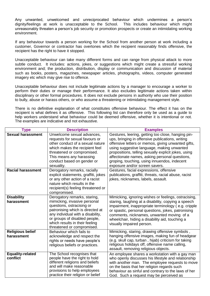Any unwanted, unwelcomed and unreciprocated behaviour which undermines a person's dignity/feelings at work is unacceptable to the School. This includes behaviour which might unreasonably threaten a person's job security or promotion prospects or create an intimidating working environment.

If any behaviour towards a person working for the School from another person at work including a customer, Governor or contractor has overtones which the recipient reasonably finds offensive, the recipient has the right to have it stopped.

Unacceptable behaviour can take many different forms and can range from physical attack to more subtle conduct. It includes: actions, jokes, or suggestions which might create a stressful working environment and; the production, distribution, display or communication and discussion of material such as books, posters, magazines, newspaper articles, photographs, videos, computer generated imagery etc which may give rise to offence.

Unacceptable behaviour does not include legitimate actions by a manager to encourage a worker to perform their duties or manage their performance. It also excludes legitimate actions taken within disciplinary or other formal procedures. It does not exclude persons in authority who use their position to bully, abuse or harass others, or who assume a threatening or intimidating management style.

There is no definitive explanation of what constitutes offensive behaviour. The effect it has on the recipient is what defines it as offensive. This following list can therefore only be used as a guide to help workers understand what behaviour could be deemed offensive, whether it is intentional or not. The examples are indicative and not exhaustive.

| <b>Type</b>                           | <b>Description</b>                                                                                                                                                                                                                                                  | <b>Examples</b>                                                                                                                                                                                                                                                                                                                                                                                        |
|---------------------------------------|---------------------------------------------------------------------------------------------------------------------------------------------------------------------------------------------------------------------------------------------------------------------|--------------------------------------------------------------------------------------------------------------------------------------------------------------------------------------------------------------------------------------------------------------------------------------------------------------------------------------------------------------------------------------------------------|
| <b>Sexual harassment</b>              | Unwelcome sexual advances,<br>requests for sexual favours or<br>other conduct of a sexual nature<br>which makes the recipient feel<br>threatened or compromised.<br>This means any harassing<br>conduct based on gender or<br>sexuality.                            | Gestures, leering, getting too close, hanging pin-<br>ups, bringing in offensive publications, writing<br>offensive letters or memos, giving unwanted gifts,<br>using suggestive language, making unwanted<br>propositions, telling sexually explicit jokes, using<br>affectionate names, asking personal questions,<br>groping, touching, using innuendos, indecent<br>exposure and/or screen savers. |
| <b>Racial harassment</b>              | Derogatory remarks, racially<br>explicit statements, graffiti, jokes<br>or any other action of a racist<br>nature which results in the<br>recipient(s) feeling threatened or<br>compromised.                                                                        | Gestures, facial expressions, offensive<br>publications, graffiti, threats, racial abuse, racist<br>jokes, nicknames, labels, assault.                                                                                                                                                                                                                                                                 |
| <b>Disability</b><br>harassment       | Derogatory remarks, staring,<br>mimicking, invasive personal<br>questions, ostracising or<br>patronising which is directed at<br>any individual with a disability,<br>or groups of disabled people,<br>which results in their feeling<br>threatened or compromised. | Mimicking, ignoring wishes or feelings, ostracising,<br>staring, laughing at a disability, copying a speech<br>impairment, inappropriate terminology (e.g. cripple<br>or spastic, personal questions, jokes, patronising<br>comments, nicknames, unwanted moving of a<br>wheelchair, hiding a disability aid, touching a<br>visually impaired person.                                                  |
| <b>Religious belief</b><br>harassment | Behaviour which fails to<br>acknowledge and respect the<br>rights or needs have people's<br>religious beliefs or practices.                                                                                                                                         | Mimicking, staring, drawing offensive symbols,<br>hanging offensive images, making fun of headgear<br>(e.g. skull cap, turban, hijab) criticism for taking<br>religious holidays off, offensive name calling,<br>assault, removing religious objects.                                                                                                                                                  |
| <b>Equality-related</b><br>conflict   | The School recognises that<br>people have the right to hold<br>different religions and beliefs<br>and will make reasonable<br>provisions to help employees<br>practice their religion or belief                                                                     | An employee shares a workstation with a gay man<br>who openly discusses his lifestyle and relationship<br>with another man. The employee requests to move<br>on the basis that her religion regards such<br>behaviour as sinful and contrary to the laws of her<br>God. Such a request may be perceived as                                                                                             |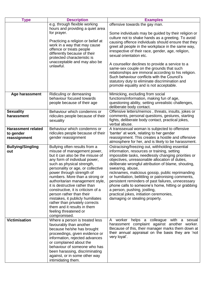| <b>Type</b>               | <b>Description</b>                                              | <b>Examples</b>                                                               |
|---------------------------|-----------------------------------------------------------------|-------------------------------------------------------------------------------|
|                           | e.g. through flexible working                                   | offensive towards the gay man.                                                |
|                           | hours and providing a quiet area                                |                                                                               |
|                           | for prayer.                                                     | Some individuals may be guided by their religion or                           |
|                           | Practicing a religion or belief at                              | culture not to shake hands as a greeting. To avoid                            |
|                           | work in a way that may cause                                    | causing offence individuals should ensure that they                           |
|                           | offence or treats people                                        | greet all people in the workplace in the same way,                            |
|                           | differently because of their                                    | irrespective of their race, gender, age, religion,<br>sexual orientation etc. |
|                           | protected characteristic is                                     |                                                                               |
|                           | unacceptable and may also be                                    | A counsellor declines to provide a service to a                               |
|                           | unlawful.                                                       | same-sex couple on the grounds that such                                      |
|                           |                                                                 | relationships are immoral according to his religion.                          |
|                           |                                                                 | Such behaviour conflicts with the Council's                                   |
|                           |                                                                 | statutory duty to eliminate discrimination and                                |
|                           |                                                                 | promote equality and is not acceptable.                                       |
| Age harassment            | Ridiculing or demeaning                                         | Mimicking, excluding from social                                              |
|                           | behaviour focused towards                                       | functions/information, making fun of age,                                     |
|                           | people because of their age                                     | questioning ability, setting unrealistic challenges,                          |
|                           |                                                                 | deliberate body contact.                                                      |
| <b>Sexuality</b>          | Behaviour which condemns or                                     | Offensive letters/memos, threats, insults, jokes or                           |
| harassment                | ridicules people because of their                               | comments, personal questions, gestures, starting                              |
|                           | sexuality                                                       | fights, deliberate body contact, practical jokes,<br>verbal abuse.            |
| <b>Harassment related</b> | Behaviour which condemns or                                     | A transsexual woman is subjected to offensive                                 |
| to gender                 | ridicules people because of their                               | 'banter' at work, relating to her gender                                      |
| reassignment              | gender reassignment                                             | reassignment. This creates a hostile and offensive                            |
|                           |                                                                 | atmosphere for her, and is likely to be harassment.                           |
| <b>Bullying/Singling</b>  | Bullying often results from a                                   | Ostracising/freezing out, withholding essential                               |
| out                       | misuse of management power,                                     | information, resources or training, setting                                   |
|                           | but it can also be the misuse of                                | impossible tasks, needlessly changing priorities or                           |
|                           | any form of individual power,                                   | objectives, unreasonable allocation of duties,                                |
|                           | such as physical strength,<br>personality or age, or collective | deliberate wrongful attribution of blame, shouting,<br>swearing, abuse,       |
|                           | power through strength of                                       | nicknames, malicious gossip, public reprimanding                              |
|                           | numbers. More than a strong or                                  | or humiliation, belittling or patronising comments,                           |
|                           | authoritarian management style,                                 | persistent reminders of past failures, unnecessary                            |
|                           | it is destructive rather than                                   | phone calls to someone's home, hitting or grabbing                            |
|                           | constructive, it is criticism of a                              | a person, pushing, jostling,                                                  |
|                           | person rather than their                                        | practical jokes, initiation ceremonies,                                       |
|                           | mistakes, it publicly humiliates                                | damaging or stealing property.                                                |
|                           | rather than privately corrects<br>them and it results in them   |                                                                               |
|                           | feeling threatened or                                           |                                                                               |
|                           | compromised.                                                    |                                                                               |
| <b>Victimisation</b>      | Where a person is treated less                                  | worker helps a colleague with a<br>sexual<br>A                                |
|                           | favourably than another                                         | harassment complaint against another worker.                                  |
|                           | because he/she has brought                                      | Because of this, their manager marks them down at                             |
|                           | proceedings, given evidence or                                  | their annual appraisal on the basis they are 'not                             |
|                           | information, rejected advances                                  | very loyal'.                                                                  |
|                           | or complained about the                                         |                                                                               |
|                           | behaviour of someone who has                                    |                                                                               |
|                           | been harassing, discriminating                                  |                                                                               |
|                           | against, or in some other way                                   |                                                                               |
|                           | intimidating them.                                              |                                                                               |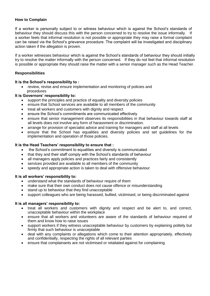#### **How to Complain**

If a worker is personally subject to or witness behaviour which is against the School's standards of behaviour they should discuss this with the person concerned to try to resolve the issue informally. If a worker feels that informal resolution is not possible or appropriate they may raise a formal complaint can be raised via the School's grievance procedure. The complaint will be investigated and disciplinary action taken if the allegation is proven.

If a worker witnesses behaviour which is against the School's standards of behaviour they should initially try to resolve the matter informally with the person concerned. If they do not feel that informal resolution is possible or appropriate they should raise the matter with a senior manager such as the Head Teacher.

#### **Responsibilities**

#### **It is the School's responsibility to :**

 review, revise and ensure implementation and monitoring of policies and procedures

#### **It is Governors' responsibility to:**

- support the principles and practice of equality and diversity policies
- ensure that School services are available to all members of the community
- treat all workers and customers with dignity and respect
- ensure the School's commitments are communicated effectively
- ensure that senior management observes its responsibilities in that behaviour towards staff at all levels does not involve any form of harassment or discrimination.
- arrange for provision of specialist advice and training for managers and staff at all levels
- ensure that the School has equalities and diversity policies and set guidelines for the implementation and operation of those policies.

#### **It is the Head Teachers' responsibility to ensure that :**

- the School's commitment to equalities and diversity is communicated
- that they and their staff comply with the School's standards of behaviour
- all managers apply policies and practices fairly and consistently
- services provided are available to all members of the community
- speedy and appropriate action is taken to deal with offensive behaviour

#### **It is all workers' responsibility to:**

- understand what the standards of behaviour require of them
- make sure that their own conduct does not cause offence or misunderstanding
- stand up to behaviour that they find unacceptable
- support colleagues who are being harassed, bullied, victimised, or being discriminated against

#### **It is all managers' responsibility to:**

- treat all workers and customers with dignity and respect and be alert to, and correct, unacceptable behaviour within the workplace
- ensure that all workers and volunteers are aware of the standards of behaviour required of them and know how to raise issues
- support workers if they witness unacceptable behaviour by customers by explaining politely but firmly that such behaviour is unacceptable
- deal with any complaints or allegations which come to their attention appropriately, effectively and confidentially, respecting the rights of all relevant parties
- ensure that complainants are not victimised or retaliated against for complaining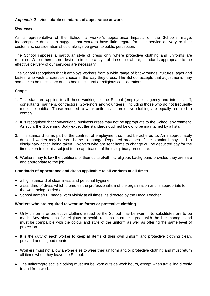#### <span id="page-17-0"></span>*Appendix 2 – A***cceptable standards of appearance at work**

#### **Overview**

As a representative of the School, a worker's appearance impacts on the School's image. Inappropriate dress can suggest that workers have little regard for their service delivery or their customers; consideration should always be given to public perception.

The School imposes a particular style of dress only where protective clothing and uniforms are required. Whilst there is no desire to impose a style of dress elsewhere, standards appropriate to the effective delivery of our services are necessary.

The School recognises that it employs workers from a wide range of backgrounds, cultures, ages and tastes, who wish to exercise choice in the way they dress. The School accepts that adjustments may sometimes be necessary due to health, cultural or religious considerations.

#### **Scope**

- 1. This standard applies to all those working for the School (employees, agency and interim staff, consultants, partners, contractors, Governors and volunteers), including those who do not frequently meet the public. Those required to wear uniforms or protective clothing are equally required to comply.
- 2. It is recognised that conventional business dress may not be appropriate to the School environment. As such, the Governing Body expect the standards outlined below to be maintained by all staff.
- 3. This standard forms part of the contract of employment so must be adhered to. An inappropriately dressed worker may be sent home to change. Repeated breaches of the standard may lead to disciplinary action being taken. Workers who are sent home to change will be deducted pay for the time taken to do this, subject to the application of the disciplinary procedure.
- 4. Workers may follow the traditions of their cultural/ethnic/religious background provided they are safe and appropriate to the job.

#### **Standards of appearance and dress applicable to all workers at all times**

- a high standard of cleanliness and personal hygiene
- a standard of dress which promotes the professionalism of the organisation and is appropriate for the work being carried out
- School name/I.D. badge worn visibly at all times, as directed by the Head Teacher.

#### **Workers who are required to wear uniforms or protective clothing**

- Only uniforms or protective clothing issued by the School may be worn. No substitutes are to be made. Any alterations for religious or health reasons must be agreed with the line manager and must be compatible with the colour and style of the uniform as well as offering the same level of protection.
- It is the duty of each worker to keep all items of their own uniform and protective clothing clean, pressed and in good repair.
- Workers must not allow anyone else to wear their uniform and/or protective clothing and must return all items when they leave the School.
- The uniform/protective clothing must not be worn outside work hours, except when travelling directly to and from work.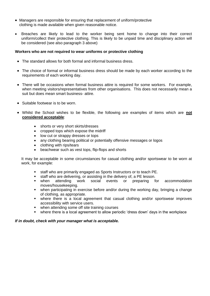- Managers are responsible for ensuring that replacement of uniform/protective clothing is made available when given reasonable notice.
- Breaches are likely to lead to the worker being sent home to change into their correct uniform/collect their protective clothing. This is likely to be unpaid time and disciplinary action will be considered (see also paragraph 3 above)

#### **Workers who are not required to wear uniforms or protective clothing**

- The standard allows for both formal and informal business dress.
- The choice of formal or informal business dress should be made by each worker according to the requirements of each working day.
- There will be occasions when formal business attire is required for some workers. For example, when meeting visitors/representatives from other organisations. This does not necessarily mean a suit but does mean smart business- attire.
- Suitable footwear is to be worn.
- Whilst the School wishes to be flexible, the following are examples of items which are **not considered acceptable**:
	- shorts or very short skirts/dresses
	- cropped tops which expose the midriff
	- low cut or strappy dresses or tops
	- any clothing bearing political or potentially offensive messages or logos
	- clothing with rips/tears
	- beachwear such as vest tops, flip-flops and shorts

It may be acceptable in some circumstances for casual clothing and/or sportswear to be worn at work, for example:

- staff who are primarily engaged as Sports Instructors or to teach PE.
- staff who are delivering, or assisting in the delivery of, a PE lesson.
- when attending work social events or preparing for accommodation moves/housekeeping.
- when participating in exercise before and/or during the working day, bringing a change of clothing, as appropriate.
- where there is a local agreement that casual clothing and/or sportswear improves accessibility with service users.
- when attending some off site training courses
- where there is a local agreement to allow periodic 'dress down' days in the workplace

#### *If in doubt, check with your manager what is acceptable.*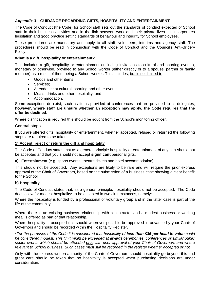#### <span id="page-19-0"></span>*Appendix 3 –* **GUIDANCE REGARDING GIFTS, HOSPITALITY AND ENTERTAINMENT**

The Code of Conduct (the Code) for School staff sets out the standards of conduct expected of School staff in their business activities and in the link between work and their private lives. It incorporates legislation and good practice setting standards of behaviour and integrity for School employees.

These procedures are mandatory and apply to all staff, volunteers, interims and agency staff. The procedures should be read in conjunction with the Code of Conduct and the Council's Anti-Bribery Policy.

#### **What is a gift, hospitality or entertainment?**

This includes a gift, hospitality or entertainment (including invitations to cultural and sporting events), monetary or otherwise, provided to any School worker (either directly or to a spouse, partner or family member) as a result of them being a School worker. This includes, but is not limited to:

- Goods and other items:
- Services:
- Attendance at cultural, sporting and other events;
- Meals, drinks and other hospitality; and
- Accommodation.

Some exceptions do exist, such as items provided at conferences that are provided to all delegates; **however, where staff are unsure whether an exception may apply, the Code requires that the offer be declined**.

Where clarification is required this should be sought from the School's monitoring officer.

#### **General steps**

If you are offered gifts, hospitality or entertainment, whether accepted, refused or returned the following steps are required to be taken:

#### **1) Accept, reject or return the gift and hospitality**

The Code of Conduct states that as a general principle hospitality or entertainment of any sort should not be accepted and that you should not accept **significant** personal gifts.

**a) Entertainment** (e.g. sports events, theatre tickets and hotel accommodation)

This should not be accepted. Any exceptions are likely to be rare and will require the prior express approval of the Chair of Governors, based on the submission of a business case showing a clear benefit to the School.

#### **b) Hospitality**

The Code of Conduct states that, as a general principle, hospitality should not be accepted. The Code does allow for modest hospitality\* to be accepted in two circumstances, namely:

Where the hospitality is funded by a professional or voluntary group and in the latter case is part of the life of the community

Where there is an existing business relationship with a contractor and a modest business or working meal is offered as part of that relationship.

Where hospitality is accepted this should wherever possible be approved in advance by your Chair of Governors and should be recorded within the Hospitality Register.

\**For the purposes of the Code it is considered that hospitality of less than £35 per head in value could be considered modest. This limit might be exceeded at awards ceremonies, conferences or similar public sector events which should be attended only with prior approval of your Chair of Governors and where relevant to School business. Such cases must still be recorded in the register whether accepted or not.* 

Only with the express written authority of the Chair of Governors should hospitality go beyond this and great care should be taken that no hospitality is accepted when purchasing decisions are under consideration.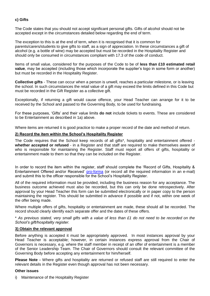#### **c) Gifts**

The Code states that you should not accept significant personal gifts. Gifts of alcohol should not be accepted except in the circumstances detailed below regarding the end of term.

The exception to this is at the end of term, when it is recognised that it is common for parents/carers/students to give gifts to staff, as a sign of appreciation. In these circumstances a gift of alcohol (e.g. a bottle of wine) may be accepted but must be recorded in the Hospitality Register and should only be consumed in circumstances compliant with 17.3 of the code of conduct.

Items of small value, considered for the purposes of the Code to be of **less than £10 estimated retail value**, may be accepted (including those which incorporate the supplier's logo in some form or another) but must be recorded in the Hospitality Register.

**Collective gifts** - These can occur when a person is unwell, reaches a particular milestone, or is leaving the school. In such circumstances the retail value of a gift may exceed the limits defined in this Code but must be recorded in the Gift Register as a collective gift.

Exceptionally, if returning a gift would cause offence, your Head Teacher can arrange for it to be received by the School and passed to the Governing Body, to be used for fundraising.

For these purposes, 'Gifts' and their value limits **do not** include tickets to events. These are considered to be Entertainment as described in 1a) above.

Where items are returned it is good practice to make a proper record of the date and method of return.

#### **2) Record the item within the School's Hospitality Register**

The Code requires that the School keep records of all gifts\*, hospitality and entertainment offered **whether accepted or refused** - in a Register and that staff are required to make themselves aware of who is responsible for maintaining the Register. Staff must report all offers of gifts, hospitality or entertainment made to them so that they can be included on the Register.

In order to record the item within the register, staff should complete the 'Record of Gifts, Hospitality & Entertainment Offered and/or Received' [pro-forma](file:///C:/Documents%20and%20Settings/364179/Local%20Settings/Temporary%20Internet%20Files/OLK5/Gift%20and%20Hospitality%20Pro%20Forma.doc) (or record all the required information in an e-mail) and submit this to the officer responsible for the School's Hospitality Register.

All of the required information must be provided, including the business reason for any acceptance. The business outcome achieved must also be recorded, but this can only be done retrospectively. After approval by your Head Teacher this form can be submitted electronically or in paper copy to the person maintaining the register. This should be submitted in advance if possible and if not, within one week of the offer being made.

Where multiple offers of gifts, hospitality or entertainment are made, these should all be recorded. The record should clearly identify each separate offer and the dates of these offers.

\* *As previous stated, very small gifts with a value of less than £1 do not need to be recorded on the School's gift/hospitality register.*

#### **3) Obtain the relevant approval**

Before anything is accepted it must be appropriately approved. In most instances approval by your Head Teacher is acceptable; however, in certain instances express approval from the Chair of Governors is necessary, e.g. where the staff member in receipt of an offer of entertainment is a member of the Senior Leadership Team. The Chair of Governors should consult the relevant committee of the Governing Body before accepting any entertainment for him/herself.

**Please Note -** Where gifts and hospitality are returned or refused staff are still required to enter the relevant details in the Register even though approval has not been necessary.

#### **Other issues**

i) Maintenance of the Hospitality Register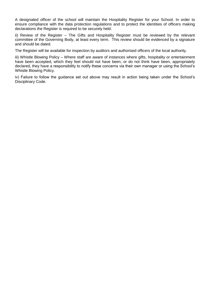A designated officer of the school will maintain the Hospitality Register for your School. In order to ensure compliance with the data protection regulations and to protect the identities of officers making declarations the Register is required to be securely held.

ii) Review of the Register – The Gifts and Hospitality Register must be reviewed by the relevant committee of the Governing Body, at least every term. This review should be evidenced by a signature and should be dated.

The Register will be available for inspection by auditors and authorised officers of the local authority.

iii) Whistle Blowing Policy – Where staff are aware of instances where gifts, hospitality or entertainment have been accepted, which they feel should not have been, or do not think have been, appropriately declared, they have a responsibility to notify these concerns via their own manager or using the School's Whistle Blowing Policy.

<span id="page-21-0"></span>iv) Failure to follow the guidance set out above may result in action being taken under the School's Disciplinary Code.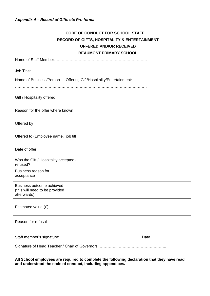## **CODE OF CONDUCT FOR SCHOOL STAFF RECORD OF GIFTS, HOSPITALITY & ENTERTAINMENT OFFERED AND/OR RECEIVED BEAUMONT PRIMARY SCHOOL**

Name of Staff Member………………………………………………………………

Job Title: …………………………………………………

Name of Business/Person Offering Gift/Hospitality/Entertainment:

…………………………………………………………………………………………

| Gift / Hospitality offered                                                 |  |
|----------------------------------------------------------------------------|--|
| Reason for the offer where known                                           |  |
| Offered by                                                                 |  |
| Offered to (Employee name, job titl                                        |  |
| Date of offer                                                              |  |
| Was the Gift / Hospitality accepted<br>refused?                            |  |
| Business reason for<br>acceptance                                          |  |
| Business outcome achieved<br>(this will need to be provided<br>afterwards) |  |
| Estimated value (£)                                                        |  |
| Reason for refusal                                                         |  |

Staff member's signature: ……………….……………………………. Date ………………

Signature of Head Teacher / Chair of Governors: …………..………………………………..

**All School employees are required to complete the following declaration that they have read and understood the code of conduct, including appendices.**